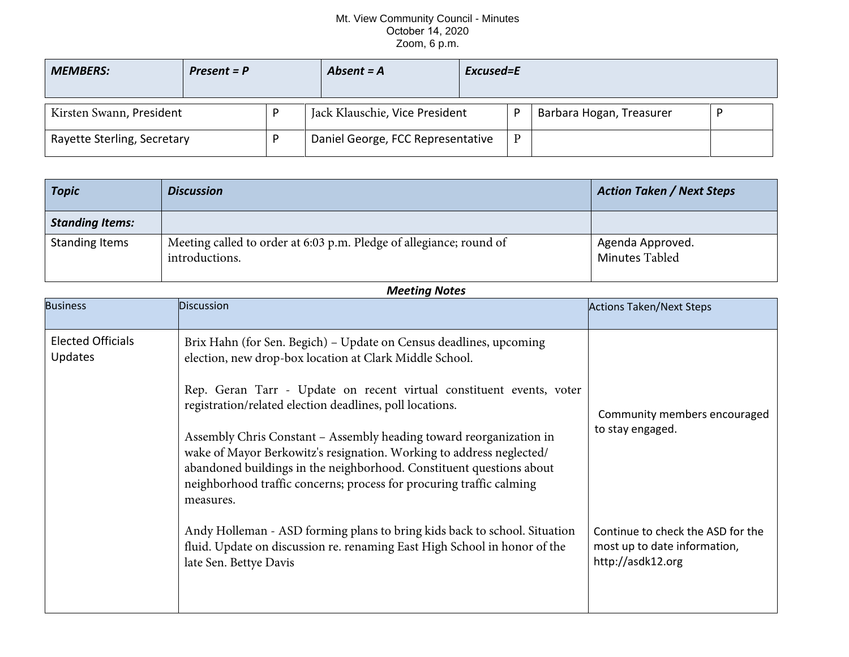## Mt. View Community Council - Minutes October 14, 2020 Zoom, 6 p.m.

| <b>MEMBERS:</b>             | $Present = P$ | Absent $= A$                      | Excused=E |   |                          |  |
|-----------------------------|---------------|-----------------------------------|-----------|---|--------------------------|--|
| Kirsten Swann, President    |               | Jack Klauschie, Vice President    |           | D | Barbara Hogan, Treasurer |  |
| Rayette Sterling, Secretary |               | Daniel George, FCC Representative |           | D |                          |  |

| <b>Topic</b>           | <b>Discussion</b>                                                                     | <b>Action Taken / Next Steps</b>   |
|------------------------|---------------------------------------------------------------------------------------|------------------------------------|
| <b>Standing Items:</b> |                                                                                       |                                    |
| <b>Standing Items</b>  | Meeting called to order at 6:03 p.m. Pledge of allegiance; round of<br>introductions. | Agenda Approved.<br>Minutes Tabled |

| <b>Meeting Notes</b>                       |                                                                                                                                                                                                                                                                                                                                                                                                                                                                                                                                                                               |                                                                                        |  |  |  |  |
|--------------------------------------------|-------------------------------------------------------------------------------------------------------------------------------------------------------------------------------------------------------------------------------------------------------------------------------------------------------------------------------------------------------------------------------------------------------------------------------------------------------------------------------------------------------------------------------------------------------------------------------|----------------------------------------------------------------------------------------|--|--|--|--|
| <b>Business</b>                            | <b>Discussion</b>                                                                                                                                                                                                                                                                                                                                                                                                                                                                                                                                                             | <b>Actions Taken/Next Steps</b>                                                        |  |  |  |  |
| <b>Elected Officials</b><br><b>Updates</b> | Brix Hahn (for Sen. Begich) - Update on Census deadlines, upcoming<br>election, new drop-box location at Clark Middle School.<br>Rep. Geran Tarr - Update on recent virtual constituent events, voter<br>registration/related election deadlines, poll locations.<br>Assembly Chris Constant – Assembly heading toward reorganization in<br>wake of Mayor Berkowitz's resignation. Working to address neglected/<br>abandoned buildings in the neighborhood. Constituent questions about<br>neighborhood traffic concerns; process for procuring traffic calming<br>measures. | Community members encouraged<br>to stay engaged.                                       |  |  |  |  |
|                                            | Andy Holleman - ASD forming plans to bring kids back to school. Situation<br>fluid. Update on discussion re. renaming East High School in honor of the<br>late Sen. Bettye Davis                                                                                                                                                                                                                                                                                                                                                                                              | Continue to check the ASD for the<br>most up to date information,<br>http://asdk12.org |  |  |  |  |